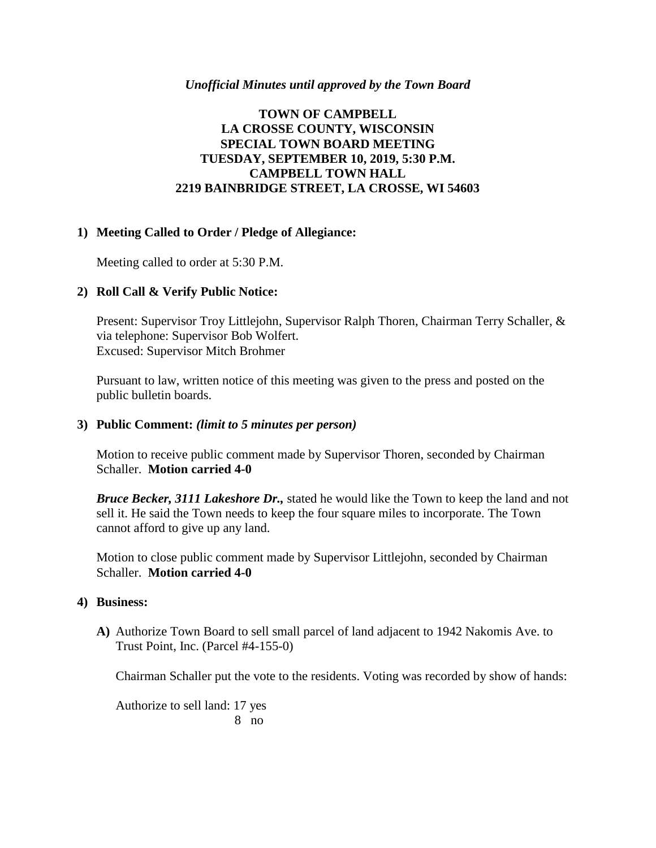### *Unofficial Minutes until approved by the Town Board*

## **TOWN OF CAMPBELL LA CROSSE COUNTY, WISCONSIN SPECIAL TOWN BOARD MEETING TUESDAY, SEPTEMBER 10, 2019, 5:30 P.M. CAMPBELL TOWN HALL 2219 BAINBRIDGE STREET, LA CROSSE, WI 54603**

### **1) Meeting Called to Order / Pledge of Allegiance:**

Meeting called to order at 5:30 P.M.

### **2) Roll Call & Verify Public Notice:**

Present: Supervisor Troy Littlejohn, Supervisor Ralph Thoren, Chairman Terry Schaller, & via telephone: Supervisor Bob Wolfert. Excused: Supervisor Mitch Brohmer

Pursuant to law, written notice of this meeting was given to the press and posted on the public bulletin boards.

### **3) Public Comment:** *(limit to 5 minutes per person)*

Motion to receive public comment made by Supervisor Thoren, seconded by Chairman Schaller. **Motion carried 4-0**

*Bruce Becker, 3111 Lakeshore Dr.,* stated he would like the Town to keep the land and not sell it. He said the Town needs to keep the four square miles to incorporate. The Town cannot afford to give up any land.

Motion to close public comment made by Supervisor Littlejohn, seconded by Chairman Schaller. **Motion carried 4-0**

### **4) Business:**

**A)** Authorize Town Board to sell small parcel of land adjacent to 1942 Nakomis Ave. to Trust Point, Inc. (Parcel #4-155-0)

Chairman Schaller put the vote to the residents. Voting was recorded by show of hands:

Authorize to sell land: 17 yes 8 no